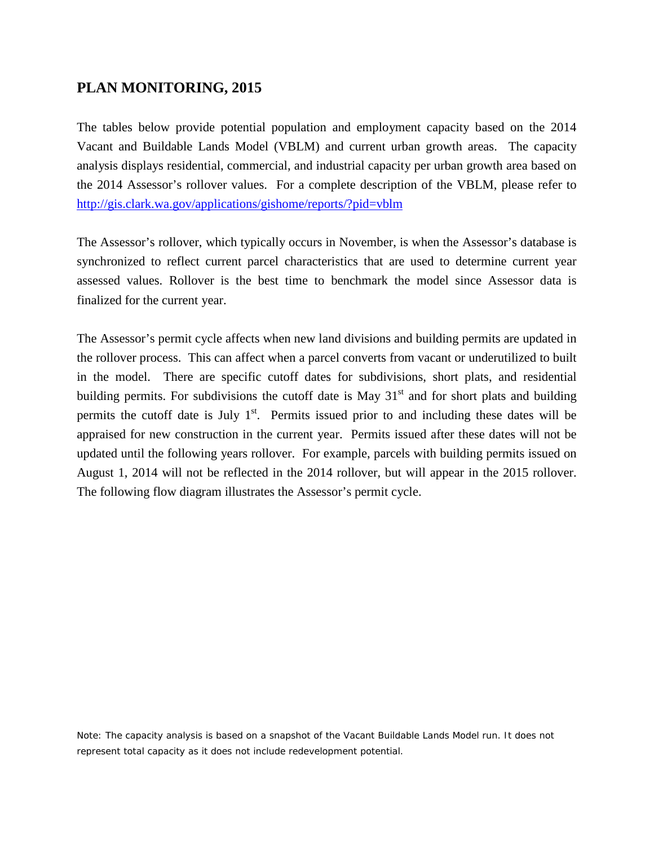## **PLAN MONITORING, 2015**

The tables below provide potential population and employment capacity based on the 2014 Vacant and Buildable Lands Model (VBLM) and current urban growth areas. The capacity analysis displays residential, commercial, and industrial capacity per urban growth area based on the 2014 Assessor's rollover values. For a complete description of the VBLM, please refer to <http://gis.clark.wa.gov/applications/gishome/reports/?pid=vblm>

The Assessor's rollover, which typically occurs in November, is when the Assessor's database is synchronized to reflect current parcel characteristics that are used to determine current year assessed values. Rollover is the best time to benchmark the model since Assessor data is finalized for the current year.

The Assessor's permit cycle affects when new land divisions and building permits are updated in the rollover process. This can affect when a parcel converts from vacant or underutilized to built in the model. There are specific cutoff dates for subdivisions, short plats, and residential building permits. For subdivisions the cutoff date is May  $31<sup>st</sup>$  and for short plats and building permits the cutoff date is July  $1<sup>st</sup>$ . Permits issued prior to and including these dates will be appraised for new construction in the current year. Permits issued after these dates will not be updated until the following years rollover. For example, parcels with building permits issued on August 1, 2014 will not be reflected in the 2014 rollover, but will appear in the 2015 rollover. The following flow diagram illustrates the Assessor's permit cycle.

Note: The capacity analysis is based on a snapshot of the Vacant Buildable Lands Model run. It does not represent total capacity as it does not include redevelopment potential.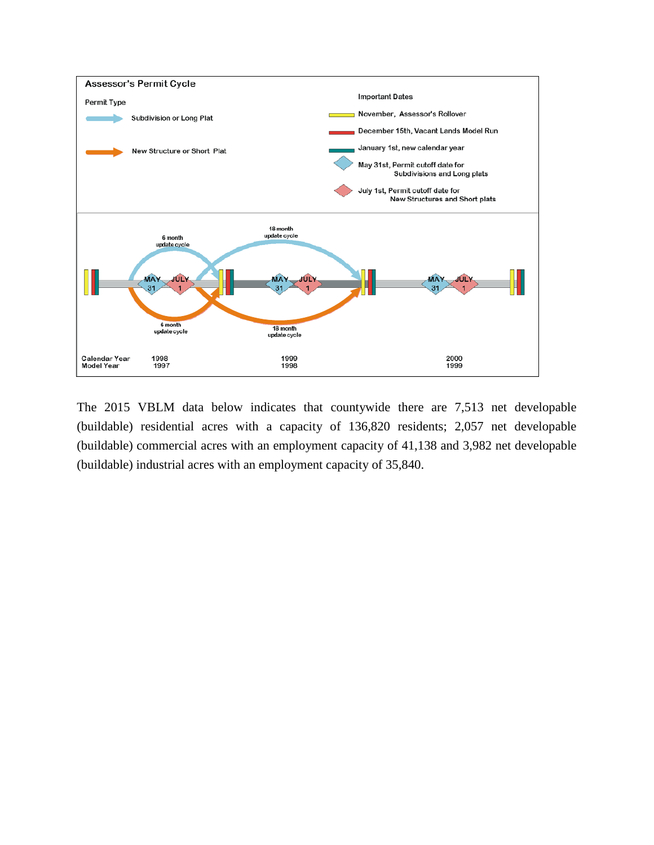

The 2015 VBLM data below indicates that countywide there are 7,513 net developable (buildable) residential acres with a capacity of 136,820 residents; 2,057 net developable (buildable) commercial acres with an employment capacity of 41,138 and 3,982 net developable (buildable) industrial acres with an employment capacity of 35,840.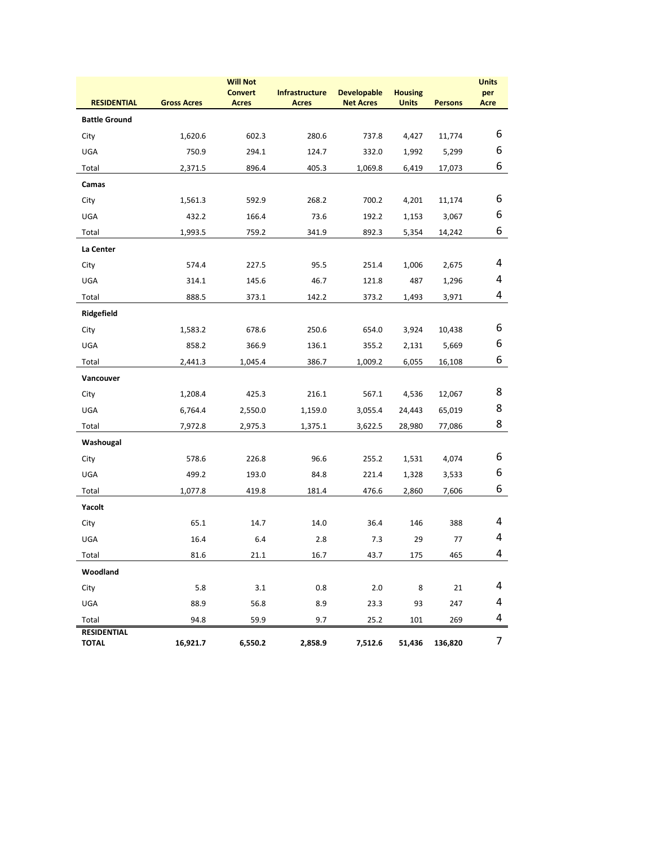|                                    |                    | <b>Will Not</b><br><b>Convert</b> | <b>Infrastructure</b> | <b>Developable</b> | <b>Housing</b> |                | <b>Units</b><br>per |
|------------------------------------|--------------------|-----------------------------------|-----------------------|--------------------|----------------|----------------|---------------------|
| <b>RESIDENTIAL</b>                 | <b>Gross Acres</b> | <b>Acres</b>                      | <b>Acres</b>          | <b>Net Acres</b>   | <b>Units</b>   | <b>Persons</b> | <b>Acre</b>         |
| <b>Battle Ground</b>               |                    |                                   |                       |                    |                |                |                     |
| City                               | 1,620.6            | 602.3                             | 280.6                 | 737.8              | 4,427          | 11,774         | 6                   |
| UGA                                | 750.9              | 294.1                             | 124.7                 | 332.0              | 1,992          | 5,299          | 6                   |
| Total                              | 2,371.5            | 896.4                             | 405.3                 | 1,069.8            | 6,419          | 17,073         | 6                   |
| Camas                              |                    |                                   |                       |                    |                |                |                     |
| City                               | 1,561.3            | 592.9                             | 268.2                 | 700.2              | 4,201          | 11,174         | 6                   |
| UGA                                | 432.2              | 166.4                             | 73.6                  | 192.2              | 1,153          | 3,067          | 6                   |
| Total                              | 1,993.5            | 759.2                             | 341.9                 | 892.3              | 5,354          | 14,242         | 6                   |
| La Center                          |                    |                                   |                       |                    |                |                |                     |
| City                               | 574.4              | 227.5                             | 95.5                  | 251.4              | 1,006          | 2,675          | 4                   |
| UGA                                | 314.1              | 145.6                             | 46.7                  | 121.8              | 487            | 1,296          | 4                   |
| Total                              | 888.5              | 373.1                             | 142.2                 | 373.2              | 1,493          | 3,971          | 4                   |
| Ridgefield                         |                    |                                   |                       |                    |                |                |                     |
| City                               | 1,583.2            | 678.6                             | 250.6                 | 654.0              | 3,924          | 10,438         | 6                   |
| UGA                                | 858.2              | 366.9                             | 136.1                 | 355.2              | 2,131          | 5,669          | 6                   |
| Total                              | 2,441.3            | 1,045.4                           | 386.7                 | 1,009.2            | 6,055          | 16,108         | 6                   |
| Vancouver                          |                    |                                   |                       |                    |                |                |                     |
| City                               | 1,208.4            | 425.3                             | 216.1                 | 567.1              | 4,536          | 12,067         | 8                   |
| UGA                                | 6,764.4            | 2,550.0                           | 1,159.0               | 3,055.4            | 24,443         | 65,019         | 8                   |
| Total                              | 7,972.8            | 2,975.3                           | 1,375.1               | 3,622.5            | 28,980         | 77,086         | 8                   |
| Washougal                          |                    |                                   |                       |                    |                |                |                     |
| City                               | 578.6              | 226.8                             | 96.6                  | 255.2              | 1,531          | 4,074          | 6                   |
| UGA                                | 499.2              | 193.0                             | 84.8                  | 221.4              | 1,328          | 3,533          | 6                   |
| Total                              | 1,077.8            | 419.8                             | 181.4                 | 476.6              | 2,860          | 7,606          | 6                   |
| Yacolt                             |                    |                                   |                       |                    |                |                |                     |
| City                               | 65.1               | 14.7                              | 14.0                  | 36.4               | 146            | 388            | 4                   |
| <b>UGA</b>                         | 16.4               | 6.4                               | 2.8                   | 7.3                | 29             | 77             | 4                   |
| Total                              | 81.6               | 21.1                              | 16.7                  | 43.7               | 175            | 465            | 4                   |
| Woodland                           |                    |                                   |                       |                    |                |                |                     |
| City                               | 5.8                | $3.1\,$                           | 0.8                   | 2.0                | 8              | 21             | 4                   |
| UGA                                | 88.9               | 56.8                              | 8.9                   | 23.3               | 93             | 247            | 4                   |
| Total                              | 94.8               | 59.9                              | 9.7                   | 25.2               | 101            | 269            | 4                   |
| <b>RESIDENTIAL</b><br><b>TOTAL</b> | 16,921.7           | 6,550.2                           | 2,858.9               | 7,512.6            | 51,436         | 136,820        | 7                   |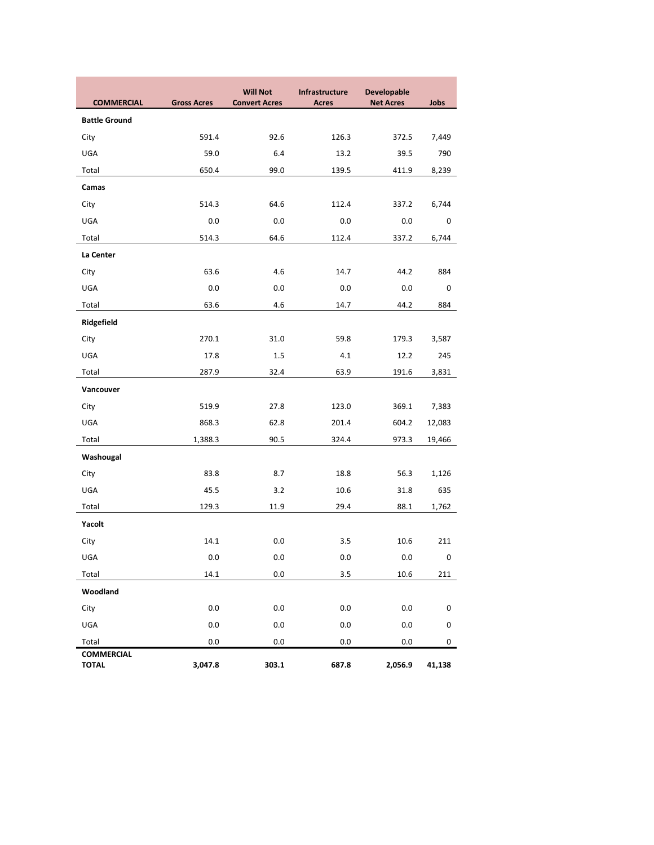|                                   |                    | <b>Will Not</b>      | Infrastructure | <b>Developable</b> |           |
|-----------------------------------|--------------------|----------------------|----------------|--------------------|-----------|
| <b>COMMERCIAL</b>                 | <b>Gross Acres</b> | <b>Convert Acres</b> | <b>Acres</b>   | <b>Net Acres</b>   | Jobs      |
| <b>Battle Ground</b>              |                    |                      |                |                    |           |
| City                              | 591.4              | 92.6                 | 126.3          | 372.5              | 7,449     |
| UGA                               | 59.0               | 6.4                  | 13.2           | 39.5               | 790       |
| Total                             | 650.4              | 99.0                 | 139.5          | 411.9              | 8,239     |
| Camas                             |                    |                      |                |                    |           |
| City                              | 514.3              | 64.6                 | 112.4          | 337.2              | 6,744     |
| UGA                               | 0.0                | 0.0                  | 0.0            | 0.0                | 0         |
| Total                             | 514.3              | 64.6                 | 112.4          | 337.2              | 6,744     |
| La Center                         |                    |                      |                |                    |           |
| City                              | 63.6               | 4.6                  | 14.7           | 44.2               | 884       |
| UGA                               | 0.0                | 0.0                  | 0.0            | 0.0                | 0         |
| Total                             | 63.6               | 4.6                  | 14.7           | 44.2               | 884       |
| Ridgefield                        |                    |                      |                |                    |           |
| City                              | 270.1              | 31.0                 | 59.8           | 179.3              | 3,587     |
| UGA                               | 17.8               | $1.5\,$              | 4.1            | 12.2               | 245       |
| Total                             | 287.9              | 32.4                 | 63.9           | 191.6              | 3,831     |
| Vancouver                         |                    |                      |                |                    |           |
| City                              | 519.9              | 27.8                 | 123.0          | 369.1              | 7,383     |
| UGA                               | 868.3              | 62.8                 | 201.4          | 604.2              | 12,083    |
| Total                             | 1,388.3            | 90.5                 | 324.4          | 973.3              | 19,466    |
| Washougal                         |                    |                      |                |                    |           |
| City                              | 83.8               | 8.7                  | 18.8           | 56.3               | 1,126     |
| UGA                               | 45.5               | 3.2                  | 10.6           | 31.8               | 635       |
| Total                             | 129.3              | 11.9                 | 29.4           | 88.1               | 1,762     |
| Yacolt                            |                    |                      |                |                    |           |
| City                              | 14.1               | 0.0                  | 3.5            | 10.6               | 211       |
| UGA                               | 0.0                | 0.0                  | 0.0            | 0.0                | $\pmb{0}$ |
| Total                             | 14.1               | $0.0\,$              | 3.5            | 10.6               | 211       |
| Woodland                          |                    |                      |                |                    |           |
| City                              | 0.0                | $0.0\,$              | 0.0            | $0.0\,$            | $\pmb{0}$ |
| UGA                               | 0.0                | $0.0\,$              | 0.0            | 0.0                | $\pmb{0}$ |
| Total                             | 0.0                | 0.0                  | 0.0            | 0.0                | 0         |
| <b>COMMERCIAL</b><br><b>TOTAL</b> | 3,047.8            | 303.1                | 687.8          | 2,056.9            | 41,138    |